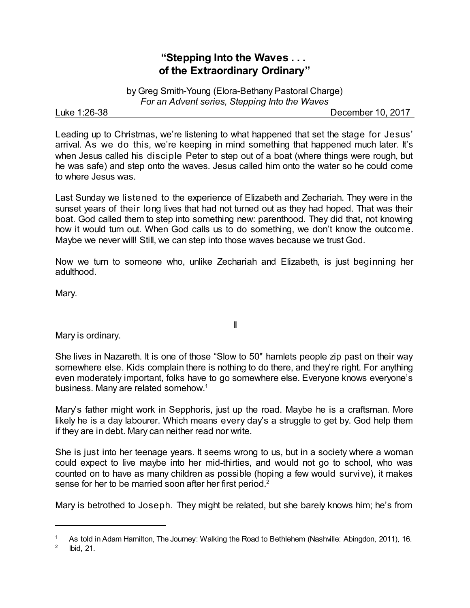## **"Stepping Into the Waves . . . of the Extraordinary Ordinary"**

by Greg Smith-Young (Elora-Bethany Pastoral Charge) *For an Advent series, Stepping Into the Waves*

Luke 1:26-38 December 10, 2017

Leading up to Christmas, we're listening to what happened that set the stage for Jesus' arrival. As we do this, we're keeping in mind something that happened much later. It's when Jesus called his disciple Peter to step out of a boat (where things were rough, but he was safe) and step onto the waves. Jesus called him onto the water so he could come to where Jesus was.

Last Sunday we listened to the experience of Elizabeth and Zechariah. They were in the sunset years of their long lives that had not turned out as they had hoped. That was their boat. God called them to step into something new: parenthood. They did that, not knowing how it would turn out. When God calls us to do something, we don't know the outcome. Maybe we never will! Still, we can step into those waves because we trust God.

Now we turn to someone who, unlike Zechariah and Elizabeth, is just beginning her adulthood.

Mary.

Mary is ordinary.

She lives in Nazareth. It is one of those "Slow to 50" hamlets people zip past on their way somewhere else. Kids complain there is nothing to do there, and they're right. For anything even moderately important, folks have to go somewhere else. Everyone knows everyone's business. Many are related somehow. 1

II

Mary's father might work in Sepphoris, just up the road. Maybe he is a craftsman. More likely he is a day labourer. Which means every day's a struggle to get by. God help them if they are in debt. Mary can neither read nor write.

She is just into her teenage years. It seems wrong to us, but in a society where a woman could expect to live maybe into her mid-thirties, and would not go to school, who was counted on to have as many children as possible (hoping a few would survive), it makes sense for her to be married soon after her first period.<sup>2</sup>

Mary is betrothed to Joseph. They might be related, but she barely knows him; he's from

<sup>1</sup> As told in Adam Hamilton, The Journey: Walking the Road to Bethlehem (Nashville: Abingdon, 2011), 16.

<sup>2</sup> Ibid, 21.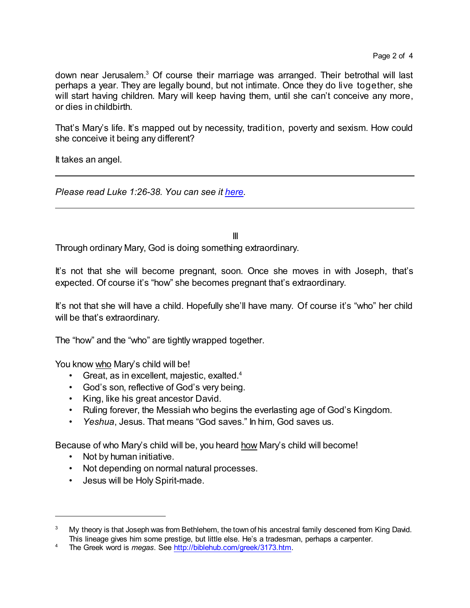down near Jerusalem. <sup>3</sup> Of course their marriage was arranged. Their betrothal will last perhaps a year. They are legally bound, but not intimate. Once they do live together, she will start having children. Mary will keep having them, until she can't conceive any more, or dies in childbirth.

That's Mary's life. It's mapped out by necessity, tradition, poverty and sexism. How could she conceive it being any different?

It takes an angel.

*Please read Luke 1:26-38. You can see it [here](https://www.biblegateway.com/passage/?search=Luke+1%3A26-38&version=NRSV).*

III

Through ordinary Mary, God is doing something extraordinary.

It's not that she will become pregnant, soon. Once she moves in with Joseph, that's expected. Of course it's "how" she becomes pregnant that's extraordinary.

It's not that she will have a child. Hopefully she'll have many. Of course it's "who" her child will be that's extraordinary.

The "how" and the "who" are tightly wrapped together.

You know who Mary's child will be!

- Great, as in excellent, majestic, exalted.<sup>4</sup>
- God's son, reflective of God's very being.
- King, like his great ancestor David.
- Ruling forever, the Messiah who begins the everlasting age of God's Kingdom.
- *Yeshua*, Jesus. That means "God saves." In him, God saves us.

Because of who Mary's child will be, you heard how Mary's child will become!

- Not by human initiative.
- Not depending on normal natural processes.
- Jesus will be Holy Spirit-made.

<sup>&</sup>lt;sup>3</sup> My theory is that Joseph was from Bethlehem, the town of his ancestral family descened from King David. This lineage gives him some prestige, but little else. He's a tradesman, perhaps a carpenter.

<sup>4</sup> The Greek word is *megas*. See <http://biblehub.com/greek/3173.htm>.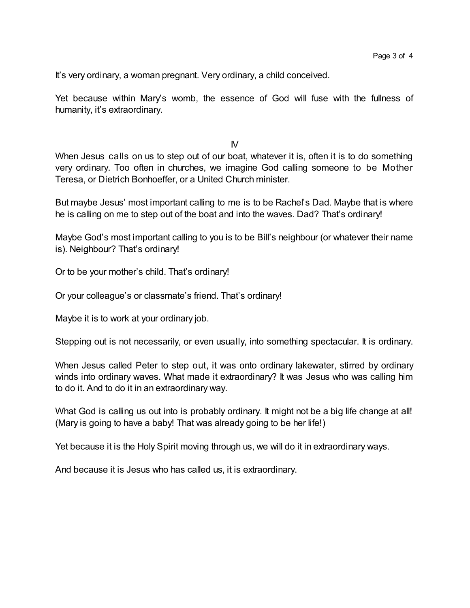It's very ordinary, a woman pregnant. Very ordinary, a child conceived.

Yet because within Mary's womb, the essence of God will fuse with the fullness of humanity, it's extraordinary.

 $N$ 

When Jesus calls on us to step out of our boat, whatever it is, often it is to do something very ordinary. Too often in churches, we imagine God calling someone to be Mother Teresa, or Dietrich Bonhoeffer, or a United Church minister.

But maybe Jesus' most important calling to me is to be Rachel's Dad. Maybe that is where he is calling on me to step out of the boat and into the waves. Dad? That's ordinary!

Maybe God's most important calling to you is to be Bill's neighbour (or whatever their name is). Neighbour? That's ordinary!

Or to be your mother's child. That's ordinary!

Or your colleague's or classmate's friend. That's ordinary!

Maybe it is to work at your ordinary job.

Stepping out is not necessarily, or even usually, into something spectacular. It is ordinary.

When Jesus called Peter to step out, it was onto ordinary lakewater, stirred by ordinary winds into ordinary waves. What made it extraordinary? It was Jesus who was calling him to do it. And to do it in an extraordinary way.

What God is calling us out into is probably ordinary. It might not be a big life change at all! (Mary is going to have a baby! That was already going to be her life!)

Yet because it is the Holy Spirit moving through us, we will do it in extraordinary ways.

And because it is Jesus who has called us, it is extraordinary.